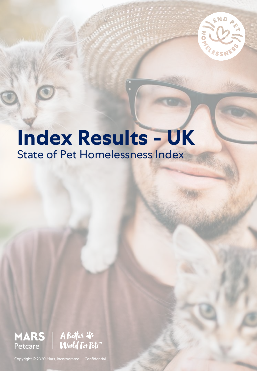

**MAG** 

# **Index Results - UK**  State of Pet Homelessness Index



Copyright © 2020 Mars, Incorporated — Confidential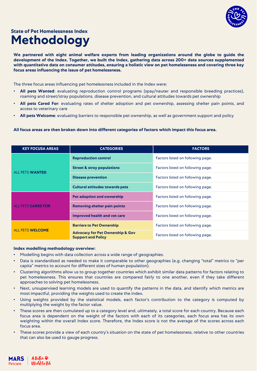

### **Methodology State of Pet Homelessness Index**

**We partnered with eight animal welfare experts from leading organizations around the globe to guide the development of the Index. Together, we built the Index, gathering data across 200+ data sources supplemented** with quantitative data on consumer attitudes, ensuring a holistic view on pet homelessness and covering three key **focus areas influencing the issue of pet homelessness.**

The three focus areas influencing pet homelessness included in the Index were:

- **All pets Wanted**: evaluating reproduction control programs (spay/neuter and responsible breeding practices), roaming and street/stray populations, disease prevention, and cultural attitudes towards pet ownership
- **All pets Cared For**: evaluating rates of shelter adoption and pet ownership, assessing shelter pain points, and access to veterinary care
- **All pets Welcome**: evaluating barriers to responsible pet ownership, as well as government support and policy

#### **All focus areas are then broken down into different categories of factors which impact this focus area.**

| <b>KEY FOCUSA AREAS</b>   | <b>CATEGORIES</b>                                                        | <b>FACTORS</b>                    |
|---------------------------|--------------------------------------------------------------------------|-----------------------------------|
| <b>ALL PETS WANTED</b>    | <b>Reproduction control</b>                                              | Factors listed on following page. |
|                           | <b>Street &amp; stray populations</b>                                    | Factors listed on following page. |
|                           | <b>Disease prevention</b>                                                | Factors listed on following page. |
|                           | <b>Cultural attitudes towards pets</b>                                   | Factors listed on following page. |
| <b>ALL PETS CARED FOR</b> | <b>Pet adoption and ownership</b>                                        | Factors listed on following page. |
|                           | <b>Removing shelter pain points</b>                                      | Factors listed on following page. |
|                           | <b>Improved health and vet care</b>                                      | Factors listed on following page. |
| <b>ALL PETS WELCOME</b>   | <b>Barriers to Pet Ownership</b>                                         | Factors listed on following page. |
|                           | <b>Advocacy for Pet Ownership &amp; Gov</b><br><b>Support and Policy</b> | Factors listed on following page. |

#### **Index modelling methodology overview:**

- Modelling begins with data collection across a wide range of geographies.
- Data is standardized as needed to make it comparable to other geographies (e.g. changing "total" metrics to "per capita" metrics to account for different sizes of human population).
- Clustering algorithms allow us to group together countries which exhibit similar data patterns for factors relating to pet homelessness. This ensures that countries are compared fairly to one another, even if they take different approaches to solving pet homelessness.
- Next, unsupervised learning models are used to quantify the patterns in the data, and identify which metrics are most impactful, providing the weights used to create the index.
- Using weights provided by the statistical models, each factor's contribution to the category is computed by multiplying the weight by the factor value.
- These scores are then cumulated up to a category level and, ultimately, a total score for each country. Because each focus area is dependent on the weight of the factors with each of its categories, each focus area has its own weighting within the overall Index score. Therefore, the Index score is not the average of the scores across each focus area.
- These scores provide a view of each country's situation on the state of pet homelessness, relative to other countries that can also be used to gauge progress.

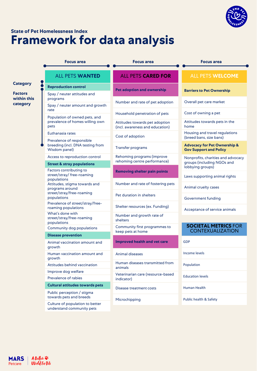

### **Framework for data analysis State of Pet Homelessness Index**

|                                           | <b>Focus area</b>                                                        | <b>Focus area</b>                                                 | <b>Focus area</b>                                                                    |
|-------------------------------------------|--------------------------------------------------------------------------|-------------------------------------------------------------------|--------------------------------------------------------------------------------------|
|                                           |                                                                          |                                                                   |                                                                                      |
|                                           | <b>ALL PETS WANTED</b>                                                   | <b>ALL PETS CARED FOR</b>                                         | <b>ALL PETS WELCOME</b>                                                              |
| <b>Category</b>                           | <b>Reproduction control</b>                                              | <b>Pet adoption and ownership</b>                                 |                                                                                      |
| <b>Factors</b><br>within this<br>category | Spay / neuter attitudes and<br>programs                                  |                                                                   | <b>Barriers to Pet Ownership</b>                                                     |
|                                           | Spay / neuter amount and growth                                          | Number and rate of pet adoption                                   | Overall pet care market                                                              |
|                                           | rate                                                                     | Household penetration of pets                                     | Cost of owning a pet                                                                 |
|                                           | Population of owned pets, and<br>prevalence of homes willing own<br>pets | Attitudes towards pet adoption<br>(incl. awareness and education) | Attitudes towards pets in the<br>home                                                |
|                                           | Euthanasia rates                                                         | Cost of adoption                                                  | Housing and travel regulations                                                       |
|                                           | Prevalence of responsible                                                |                                                                   | (breed bans, size bans)                                                              |
|                                           | breeding (incl. DNA testing from<br>Wisdom panel)                        | Transfer programs                                                 | <b>Advocacy for Pet Ownership &amp;</b><br><b>Gov Support and Policy</b>             |
|                                           | Access to reproduction control                                           | Rehoming programs (improve<br>rehoming centre performance)        | Nonprofits, charities and advocacy<br>groups (including NGOs and<br>lobbying groups) |
|                                           | <b>Street &amp; stray populations</b>                                    |                                                                   |                                                                                      |
|                                           | Factors contributing to<br>street/stray/ free-roaming<br>populations     | <b>Removing shelter pain points</b>                               | Laws supporting animal rights                                                        |
|                                           | Attitudes, stigma towards and<br>programs around                         | Number and rate of fostering pets                                 | Animal cruelty cases                                                                 |
|                                           | street/stray/free-roaming<br>populations                                 | Pet duration in shelters                                          | Government funding                                                                   |
|                                           | Prevalence of street/stray/free-<br>roaming populations                  | Shelter resources (ex. Funding)                                   | Acceptance of service animals                                                        |
|                                           | What's done with<br>street/stray/free-roaming<br>populations             | Number and growth rate of<br>shelters                             |                                                                                      |
|                                           | Community dog populations                                                | Community first programmes to<br>keep pets at home                | <b>SOCIETAL METRICS FOR</b><br><b>CONTEXUALIZATION</b>                               |
|                                           | <b>Disease prevention</b>                                                | <b>Improved health and vet care</b>                               |                                                                                      |
|                                           | Animal vaccination amount and<br>growth                                  |                                                                   | <b>GDP</b>                                                                           |
|                                           | Human vaccination amount and<br>growth                                   | Animal diseases                                                   | Income levels                                                                        |
|                                           | Attitudes behind vaccination                                             | Human diseases transmitted from                                   | Population                                                                           |
|                                           | Improve dog welfare                                                      | animals<br>Veterinarian care (resource-based<br>indicator)        | <b>Education levels</b>                                                              |
|                                           | Prevalence of rabies                                                     |                                                                   |                                                                                      |
|                                           | <b>Cultural attitudes towards pets</b>                                   | Disease treatment costs                                           | Human Health                                                                         |
|                                           | Public perception / stigma<br>towards pets and breeds                    | Microchipping                                                     | Public health & Safety                                                               |
|                                           | Culture of population to better<br>understand community pets             |                                                                   |                                                                                      |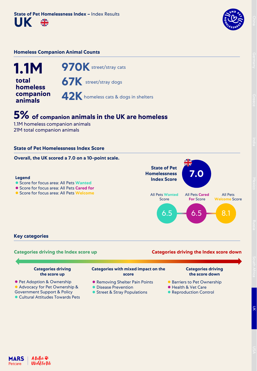

#### **Homeless Companion Animal Counts**



## **5% of companion animals in the UK are homeless**

1.1M homeless companion animals 21M total companion animals

#### **State of Pet Homelessness Index Score**

#### **Overall, the UK scored a 7.0 on a 10-point scale.**

#### **Legend**

- ⚫ Score for focus area: All Pets **Wanted**
- ⚫ Score for focus area: All Pets **Cared for**
- ⚫ Score for focus area: All Pets **Welcome**



#### **Key categories**

### **Categories driving the Index score up Categories driving the Index score down**

| <b>Categories driving</b><br>the score up | <b>Categories with mixed impact on the</b><br>score | <b>Categories driving</b><br>the score down |
|-------------------------------------------|-----------------------------------------------------|---------------------------------------------|
| • Pet Adoption & Ownership                | • Removing Shelter Pain Points                      | <b>Barriers to Pet Ownership</b>            |
| Advocacy for Pet Ownership &              | • Disease Prevention                                | ● Health & Vet Care                         |
| <b>Government Support &amp; Policy</b>    | • Street & Stray Populations                        | • Reproduction Control                      |

- ⚫ Cultural Attitudes Towards Pets
- Street & Stray Populations